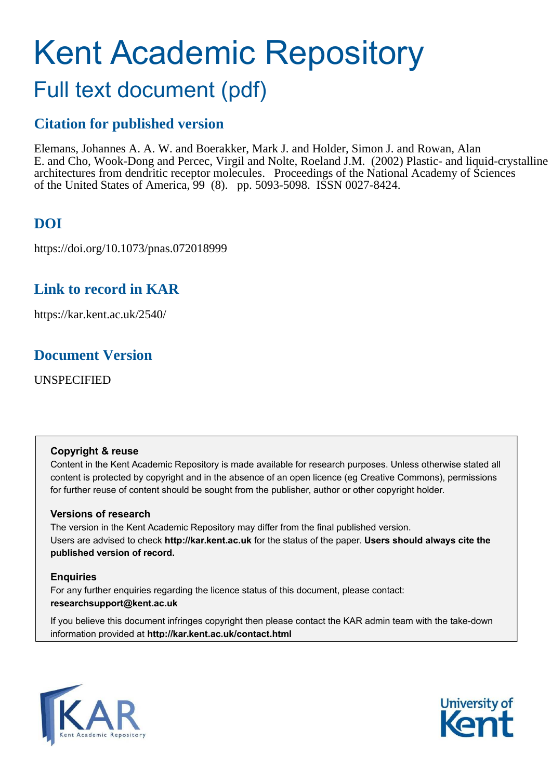# Kent Academic Repository

# Full text document (pdf)

## **Citation for published version**

Elemans, Johannes A. A. W. and Boerakker, Mark J. and Holder, Simon J. and Rowan, Alan E. and Cho, Wook-Dong and Percec, Virgil and Nolte, Roeland J.M. (2002) Plastic- and liquid-crystalline architectures from dendritic receptor molecules. Proceedings of the National Academy of Sciences of the United States of America, 99 (8). pp. 5093-5098. ISSN 0027-8424.

# **DOI**

https://doi.org/10.1073/pnas.072018999

## **Link to record in KAR**

https://kar.kent.ac.uk/2540/

## **Document Version**

UNSPECIFIED

## **Copyright & reuse**

Content in the Kent Academic Repository is made available for research purposes. Unless otherwise stated all content is protected by copyright and in the absence of an open licence (eg Creative Commons), permissions for further reuse of content should be sought from the publisher, author or other copyright holder.

## **Versions of research**

The version in the Kent Academic Repository may differ from the final published version. Users are advised to check **http://kar.kent.ac.uk** for the status of the paper. **Users should always cite the published version of record.**

## **Enquiries**

For any further enquiries regarding the licence status of this document, please contact: **researchsupport@kent.ac.uk**

If you believe this document infringes copyright then please contact the KAR admin team with the take-down information provided at **http://kar.kent.ac.uk/contact.html**



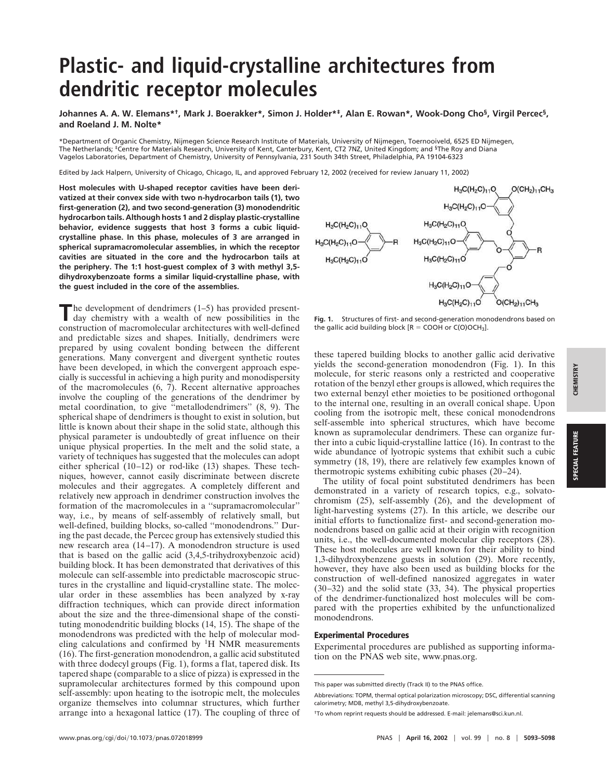# **Plastic- and liquid-crystalline architectures from dendritic receptor molecules**

**Johannes A. A. W. Elemans\*† , Mark J. Boerakker\*, Simon J. Holder\*‡ , Alan E. Rowan\*, Wook-Dong Cho§ , Virgil Percec§ , and Roeland J. M. Nolte\***

\*Department of Organic Chemistry, Nijmegen Science Research Institute of Materials, University of Nijmegen, Toernooiveld, 6525 ED Nijmegen, The Netherlands; <sup>‡</sup>Centre for Materials Research, University of Kent, Canterbury, Kent, CT2 7NZ, United Kingdom; and <sup>§</sup>The Roy and Diana<br>Vagelos Laboratories, Department of Chemistry, University of Pennsylvania, 231 Sout

Edited by Jack Halpern, University of Chicago, Chicago, IL, and approved February 12, 2002 (received for review January 11, 2002)

**Host molecules with U-shaped receptor cavities have been derivatized at their convex side with two n-hydrocarbon tails (1), two first-generation (2), and two second-generation (3) monodendritic hydrocarbon tails. Although hosts 1 and 2 display plastic-crystalline behavior, evidence suggests that host 3 forms a cubic liquidcrystalline phase. In this phase, molecules of 3 are arranged in spherical supramacromolecular assemblies, in which the receptor cavities are situated in the core and the hydrocarbon tails at the periphery. The 1:1 host-guest complex of 3 with methyl 3,5 dihydroxybenzoate forms a similar liquid-crystalline phase, with the guest included in the core of the assemblies.**

The development of dendrimers (1–5) has provided present-<br>day chemistry with a wealth of new possibilities in the day chemistry with a wealth of new possibilities in the construction of macromolecular architectures with well-defined and predictable sizes and shapes. Initially, dendrimers were prepared by using covalent bonding between the different generations. Many convergent and divergent synthetic routes have been developed, in which the convergent approach especially is successful in achieving a high purity and monodispersity of the macromolecules (6, 7). Recent alternative approaches involve the coupling of the generations of the dendrimer by metal coordination, to give ''metallodendrimers'' (8, 9). The spherical shape of dendrimers is thought to exist in solution, but little is known about their shape in the solid state, although this physical parameter is undoubtedly of great influence on their unique physical properties. In the melt and the solid state, a variety of techniques has suggested that the molecules can adopt either spherical (10–12) or rod-like (13) shapes. These techniques, however, cannot easily discriminate between discrete molecules and their aggregates. A completely different and relatively new approach in dendrimer construction involves the formation of the macromolecules in a ''supramacromolecular'' way, i.e., by means of self-assembly of relatively small, but well-defined, building blocks, so-called ''monodendrons.'' During the past decade, the Percec group has extensively studied this new research area (14–17). A monodendron structure is used that is based on the gallic acid (3,4,5-trihydroxybenzoic acid) building block. It has been demonstrated that derivatives of this molecule can self-assemble into predictable macroscopic structures in the crystalline and liquid-crystalline state. The molecular order in these assemblies has been analyzed by x-ray diffraction techniques, which can provide direct information about the size and the three-dimensional shape of the constituting monodendritic building blocks (14, 15). The shape of the monodendrons was predicted with the help of molecular modeling calculations and confirmed by  ${}^{1}H$  NMR measurements (16). The first-generation monodendron, a gallic acid substituted with three dodecyl groups (Fig. 1), forms a flat, tapered disk. Its tapered shape (comparable to a slice of pizza) is expressed in the supramolecular architectures formed by this compound upon self-assembly: upon heating to the isotropic melt, the molecules organize themselves into columnar structures, which further arrange into a hexagonal lattice (17). The coupling of three of



**Fig. 1.** Structures of first- and second-generation monodendrons based on the gallic acid building block  $[R = COOH$  or  $C(O)OCH<sub>3</sub>$ ].

these tapered building blocks to another gallic acid derivative yields the second-generation monodendron (Fig. 1). In this molecule, for steric reasons only a restricted and cooperative rotation of the benzyl ether groups is allowed, which requires the two external benzyl ether moieties to be positioned orthogonal to the internal one, resulting in an overall conical shape. Upon cooling from the isotropic melt, these conical monodendrons self-assemble into spherical structures, which have become known as supramolecular dendrimers. These can organize further into a cubic liquid-crystalline lattice (16). In contrast to the wide abundance of lyotropic systems that exhibit such a cubic symmetry (18, 19), there are relatively few examples known of thermotropic systems exhibiting cubic phases (20–24).

The utility of focal point substituted dendrimers has been demonstrated in a variety of research topics, e.g., solvatochromism (25), self-assembly (26), and the development of light-harvesting systems (27). In this article, we describe our initial efforts to functionalize first- and second-generation monodendrons based on gallic acid at their origin with recognition units, i.e., the well-documented molecular clip receptors (28). These host molecules are well known for their ability to bind 1,3-dihydroxybenzene guests in solution (29). More recently, however, they have also been used as building blocks for the construction of well-defined nanosized aggregates in water (30–32) and the solid state (33, 34). The physical properties of the dendrimer-functionalized host molecules will be compared with the properties exhibited by the unfunctionalized monodendrons.

#### Experimental Procedures

Experimental procedures are published as supporting information on the PNAS web site, www.pnas.org.

Abbreviations: TOPM, thermal optical polarization microscopy; DSC, differential scanning calorimetry; MDB, methyl 3,5-dihydroxybenzoate.

This paper was submitted directly (Track II) to the PNAS office.

<sup>†</sup>To whom reprint requests should be addressed. E-mail: jelemans@sci.kun.nl.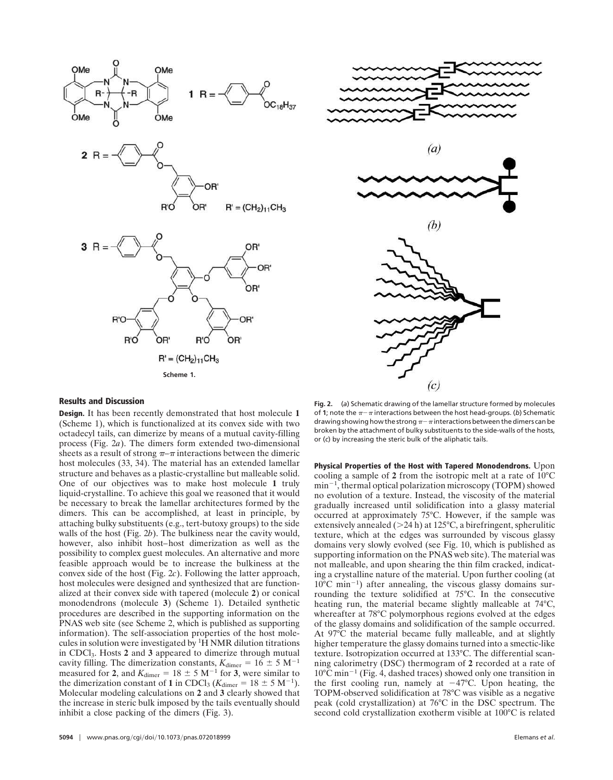



#### Results and Discussion

Design. It has been recently demonstrated that host molecule **1** (Scheme 1), which is functionalized at its convex side with two octadecyl tails, can dimerize by means of a mutual cavity-filling process (Fig. 2*a*). The dimers form extended two-dimensional sheets as a result of strong  $\pi-\pi$  interactions between the dimeric host molecules (33, 34). The material has an extended lamellar structure and behaves as a plastic-crystalline but malleable solid. One of our objectives was to make host molecule **1** truly liquid-crystalline. To achieve this goal we reasoned that it would be necessary to break the lamellar architectures formed by the dimers. This can be accomplished, at least in principle, by attaching bulky substituents (e.g., tert-butoxy groups) to the side walls of the host (Fig. 2*b*). The bulkiness near the cavity would, however, also inhibit host–host dimerization as well as the possibility to complex guest molecules. An alternative and more feasible approach would be to increase the bulkiness at the convex side of the host (Fig. 2*c*). Following the latter approach, host molecules were designed and synthesized that are functionalized at their convex side with tapered (molecule **2**) or conical monodendrons (molecule **3**) (Scheme 1). Detailed synthetic procedures are described in the supporting information on the PNAS web site (see Scheme 2, which is published as supporting information). The self-association properties of the host molecules in solution were investigated by  ${}^{1}\hat{H}$  NMR dilution titrations in CDCl3. Hosts **2** and **3** appeared to dimerize through mutual cavity filling. The dimerization constants,  $K_{\text{dimer}} = 16 \pm 5 \text{ M}^{-1}$ measured for 2, and  $K_{\text{dimer}} = 18 \pm 5 \text{ M}^{-1}$  for 3, were similar to the dimerization constant of 1 in CDCl<sub>3</sub> ( $K_{\text{dimer}} = 18 \pm 5 \text{ M}^{-1}$ ). Molecular modeling calculations on **2** and **3** clearly showed that the increase in steric bulk imposed by the tails eventually should inhibit a close packing of the dimers (Fig. 3).

**Fig. 2.** (*a*) Schematic drawing of the lamellar structure formed by molecules of **1**; note the  $\pi - \pi$  interactions between the host head-groups. (b) Schematic drawing showing how the strong  $\pi-\pi$  interactions between the dimers can be broken by the attachment of bulky substituents to the side-walls of the hosts, or (*c*) by increasing the steric bulk of the aliphatic tails.

Physical Properties of the Host with Tapered Monodendrons. Upon cooling a sample of **2** from the isotropic melt at a rate of 10°C  $min^{-1}$ , thermal optical polarization microscopy (TOPM) showed no evolution of a texture. Instead, the viscosity of the material gradually increased until solidification into a glassy material occurred at approximately 75°C. However, if the sample was extensively annealed ( $>$ 24 h) at 125 $\degree$ C, a birefringent, spherulitic texture, which at the edges was surrounded by viscous glassy domains very slowly evolved (see Fig. 10, which is published as supporting information on the PNAS web site). The material was not malleable, and upon shearing the thin film cracked, indicating a crystalline nature of the material. Upon further cooling (at  $10^{\circ}$ C min<sup>-1</sup>) after annealing, the viscous glassy domains surrounding the texture solidified at 75°C. In the consecutive heating run, the material became slightly malleable at 74°C, whereafter at 78°C polymorphous regions evolved at the edges of the glassy domains and solidification of the sample occurred. At 97°C the material became fully malleable, and at slightly higher temperature the glassy domains turned into a smectic-like texture. Isotropization occurred at 133°C. The differential scanning calorimetry (DSC) thermogram of **2** recorded at a rate of  $10^{\circ}$ C min<sup>-1</sup> (Fig. 4, dashed traces) showed only one transition in the first cooling run, namely at  $-47^{\circ}$ C. Upon heating, the TOPM-observed solidification at 78°C was visible as a negative peak (cold crystallization) at 76°C in the DSC spectrum. The second cold crystallization exotherm visible at 100°C is related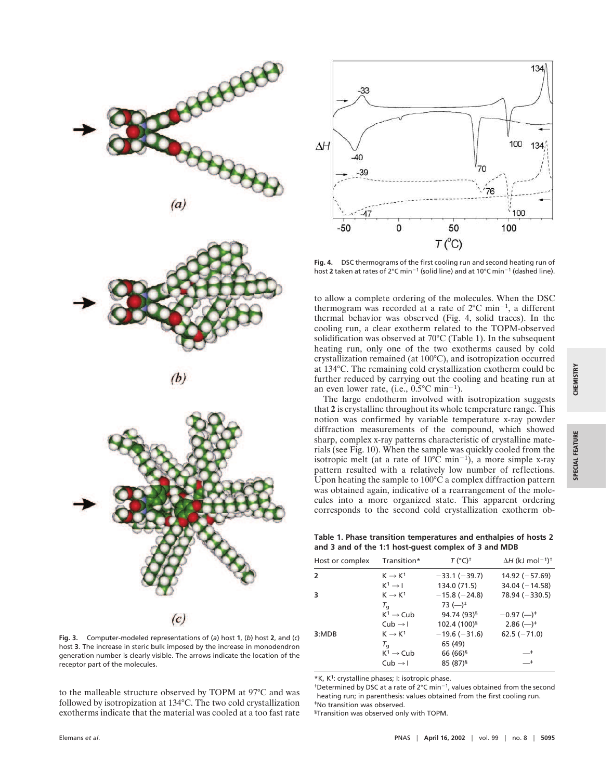



$$
(b)
$$



**Fig. 3.** Computer-modeled representations of (*a*) host **1**, (*b*) host **2**, and (*c*) host **3**. The increase in steric bulk imposed by the increase in monodendron generation number is clearly visible. The arrows indicate the location of the receptor part of the molecules.

to the malleable structure observed by TOPM at 97°C and was followed by isotropization at 134°C. The two cold crystallization exotherms indicate that the material was cooled at a too fast rate



**Fig. 4.** DSC thermograms of the first cooling run and second heating run of host 2 taken at rates of 2°C min<sup>-1</sup> (solid line) and at 10°C min<sup>-1</sup> (dashed line).

to allow a complete ordering of the molecules. When the DSC thermogram was recorded at a rate of  $2^{\circ}$ C min<sup>-1</sup>, a different thermal behavior was observed (Fig. 4, solid traces). In the cooling run, a clear exotherm related to the TOPM-observed solidification was observed at 70°C (Table 1). In the subsequent heating run, only one of the two exotherms caused by cold crystallization remained (at 100°C), and isotropization occurred at 134°C. The remaining cold crystallization exotherm could be further reduced by carrying out the cooling and heating run at an even lower rate, (i.e.,  $0.5^{\circ}$ C min<sup>-1</sup>).

The large endotherm involved with isotropization suggests that **2** is crystalline throughout its whole temperature range. This notion was confirmed by variable temperature x-ray powder diffraction measurements of the compound, which showed sharp, complex x-ray patterns characteristic of crystalline materials (see Fig. 10). When the sample was quickly cooled from the isotropic melt (at a rate of  $10^{\circ}$ C min<sup>-1</sup>), a more simple x-ray pattern resulted with a relatively low number of reflections. Upon heating the sample to 100°C a complex diffraction pattern was obtained again, indicative of a rearrangement of the molecules into a more organized state. This apparent ordering corresponds to the second cold crystallization exotherm ob-

**Table 1. Phase transition temperatures and enthalpies of hosts 2 and 3 and of the 1:1 host-guest complex of 3 and MDB**

| Host or complex | Transition*           | $T (^{\circ}C)^{\dagger}$            | $\Delta H$ (kJ mol <sup>-1</sup> ) <sup>†</sup> |
|-----------------|-----------------------|--------------------------------------|-------------------------------------------------|
| $\overline{2}$  | $K \rightarrow K^1$   | $-33.1(-39.7)$                       | $14.92 (-57.69)$                                |
|                 | $K^1 \rightarrow I$   | 134.0 (71.5)                         | $34.04 (-14.58)$                                |
| з               | $K \rightarrow K^1$   | $-15.8(-24.8)$                       | $78.94 (-330.5)$                                |
|                 | $T_{\alpha}$          | $73$ (-) <sup><math>\pm</math></sup> |                                                 |
|                 | $K^1 \rightarrow$ Cub | 94.74 (93) <sup>§</sup>              | $-0.97$ (-) <sup><math>\pm</math></sup>         |
|                 | $Cub \rightarrow I$   | 102.4 (100) <sup>§</sup>             | $2.86$ (-) <sup>‡</sup>                         |
| 3:MDB           | $K \rightarrow K^1$   | $-19.6(-31.6)$                       | $62.5(-71.0)$                                   |
|                 | $T_{\alpha}$          | 65 (49)                              |                                                 |
|                 | $K^1 \rightarrow Cub$ | 66 (66) <sup>§</sup>                 | __‡                                             |
|                 | $Cub \rightarrow I$   | 85 (87) <sup>§</sup>                 | $-^{\ddagger}$                                  |

\*K, K<sup>1</sup>: crystalline phases; I: isotropic phase.

<sup>†</sup>Determined by DSC at a rate of 2°C min<sup>-1</sup>, values obtained from the second heating run; in parenthesis: values obtained from the first cooling run. ‡No transition was observed.

§Transition was observed only with TOPM.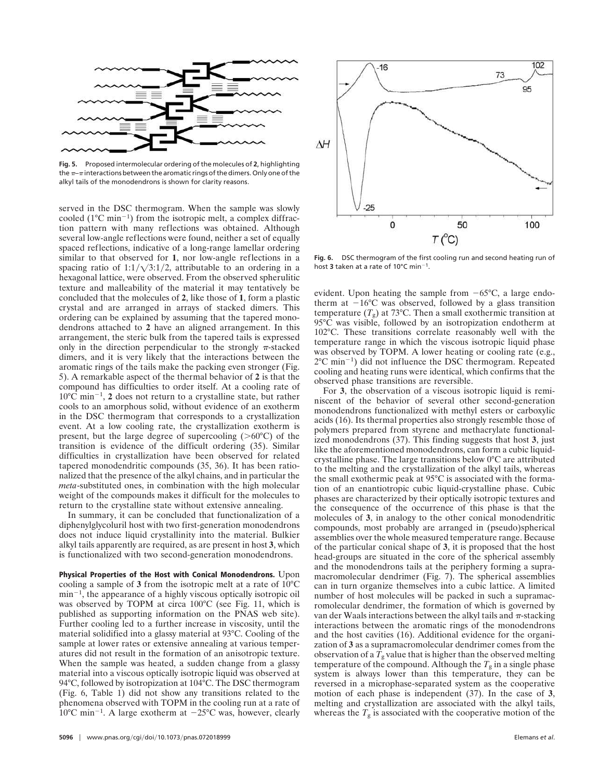

**Fig. 5.** Proposed intermolecular ordering of the molecules of **2**, highlighting the  $\pi$ - $\pi$  interactions between the aromatic rings of the dimers. Only one of the alkyl tails of the monodendrons is shown for clarity reasons.

served in the DSC thermogram. When the sample was slowly cooled  $(1^{\circ}C \text{ min}^{-1})$  from the isotropic melt, a complex diffraction pattern with many reflections was obtained. Although several low-angle reflections were found, neither a set of equally spaced reflections, indicative of a long-range lamellar ordering similar to that observed for **1**, nor low-angle reflections in a spacing ratio of  $1:1/\sqrt{3:1/2}$ , attributable to an ordering in a hexagonal lattice, were observed. From the observed spherulitic texture and malleability of the material it may tentatively be concluded that the molecules of **2**, like those of **1**, form a plastic crystal and are arranged in arrays of stacked dimers. This ordering can be explained by assuming that the tapered monodendrons attached to **2** have an aligned arrangement. In this arrangement, the steric bulk from the tapered tails is expressed only in the direction perpendicular to the strongly  $\pi$ -stacked dimers, and it is very likely that the interactions between the aromatic rings of the tails make the packing even stronger (Fig. 5). A remarkable aspect of the thermal behavior of **2** is that the compound has difficulties to order itself. At a cooling rate of  $10^{\circ}$ C min<sup>-1</sup>, 2 does not return to a crystalline state, but rather cools to an amorphous solid, without evidence of an exotherm in the DSC thermogram that corresponds to a crystallization event. At a low cooling rate, the crystallization exotherm is present, but the large degree of supercooling  $(>60^{\circ}C)$  of the transition is evidence of the difficult ordering (35). Similar difficulties in crystallization have been observed for related tapered monodendritic compounds (35, 36). It has been rationalized that the presence of the alkyl chains, and in particular the *meta*-substituted ones, in combination with the high molecular weight of the compounds makes it difficult for the molecules to return to the crystalline state without extensive annealing.

In summary, it can be concluded that functionalization of a diphenylglycoluril host with two first-generation monodendrons does not induce liquid crystallinity into the material. Bulkier alkyl tails apparently are required, as are present in host **3**, which is functionalized with two second-generation monodendrons.

Physical Properties of the Host with Conical Monodendrons. Upon cooling a sample of **3** from the isotropic melt at a rate of 10°C  $min^{-1}$ , the appearance of a highly viscous optically isotropic oil was observed by TOPM at circa 100°C (see Fig. 11, which is published as supporting information on the PNAS web site). Further cooling led to a further increase in viscosity, until the material solidified into a glassy material at 93°C. Cooling of the sample at lower rates or extensive annealing at various temperatures did not result in the formation of an anisotropic texture. When the sample was heated, a sudden change from a glassy material into a viscous optically isotropic liquid was observed at 94°C, followed by isotropization at 104°C. The DSC thermogram (Fig. 6, Table 1) did not show any transitions related to the phenomena observed with TOPM in the cooling run at a rate of  $10^{\circ}$ C min<sup>-1</sup>. A large exotherm at -25 $^{\circ}$ C was, however, clearly



**Fig. 6.** DSC thermogram of the first cooling run and second heating run of host 3 taken at a rate of 10 $^{\circ}$ C min<sup>-1</sup>.

evident. Upon heating the sample from  $-65^{\circ}$ C, a large endotherm at  $-16^{\circ}$ C was observed, followed by a glass transition temperature  $(T_g)$  at 73°C. Then a small exothermic transition at 95°C was visible, followed by an isotropization endotherm at 102°C. These transitions correlate reasonably well with the temperature range in which the viscous isotropic liquid phase was observed by TOPM. A lower heating or cooling rate (e.g.,  $2^{\circ}$ C min<sup>-1</sup>) did not influence the DSC thermogram. Repeated cooling and heating runs were identical, which confirms that the observed phase transitions are reversible.

For **3**, the observation of a viscous isotropic liquid is reminiscent of the behavior of several other second-generation monodendrons functionalized with methyl esters or carboxylic acids (16). Its thermal properties also strongly resemble those of polymers prepared from styrene and methacrylate functionalized monodendrons (37). This finding suggests that host **3**, just like the aforementioned monodendrons, can form a cubic liquidcrystalline phase. The large transitions below 0°C are attributed to the melting and the crystallization of the alkyl tails, whereas the small exothermic peak at 95°C is associated with the formation of an enantiotropic cubic liquid-crystalline phase. Cubic phases are characterized by their optically isotropic textures and the consequence of the occurrence of this phase is that the molecules of **3**, in analogy to the other conical monodendritic compounds, most probably are arranged in (pseudo)spherical assemblies over the whole measured temperature range. Because of the particular conical shape of **3**, it is proposed that the host head-groups are situated in the core of the spherical assembly and the monodendrons tails at the periphery forming a supramacromolecular dendrimer (Fig. 7). The spherical assemblies can in turn organize themselves into a cubic lattice. A limited number of host molecules will be packed in such a supramacromolecular dendrimer, the formation of which is governed by van der Waals interactions between the alkyl tails and  $\pi$ -stacking interactions between the aromatic rings of the monodendrons and the host cavities (16). Additional evidence for the organization of **3** as a supramacromolecular dendrimer comes from the observation of a  $T_g$  value that is higher than the observed melting temperature of the compound. Although the  $T<sub>g</sub>$  in a single phase system is always lower than this temperature, they can be reversed in a microphase-separated system as the cooperative motion of each phase is independent (37). In the case of **3**, melting and crystallization are associated with the alkyl tails, whereas the  $T_g$  is associated with the cooperative motion of the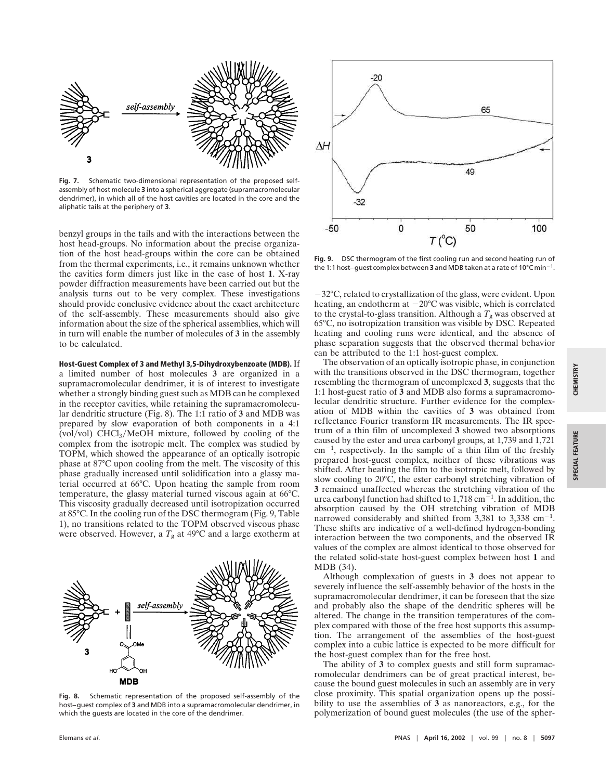

**Fig. 7.** Schematic two-dimensional representation of the proposed selfassembly of host molecule **3** into a spherical aggregate (supramacromolecular dendrimer), in which all of the host cavities are located in the core and the aliphatic tails at the periphery of **3**.

benzyl groups in the tails and with the interactions between the host head-groups. No information about the precise organization of the host head-groups within the core can be obtained from the thermal experiments, i.e., it remains unknown whether the cavities form dimers just like in the case of host **1**. X-ray powder diffraction measurements have been carried out but the analysis turns out to be very complex. These investigations should provide conclusive evidence about the exact architecture of the self-assembly. These measurements should also give information about the size of the spherical assemblies, which will in turn will enable the number of molecules of **3** in the assembly to be calculated.

### Host-Guest Complex of 3 and Methyl 3,5-Dihydroxybenzoate (MDB). If

a limited number of host molecules **3** are organized in a supramacromolecular dendrimer, it is of interest to investigate whether a strongly binding guest such as MDB can be complexed in the receptor cavities, while retaining the supramacromolecular dendritic structure (Fig. 8). The 1:1 ratio of **3** and MDB was prepared by slow evaporation of both components in a 4:1 (vol/vol) CHCl<sub>3</sub>/MeOH mixture, followed by cooling of the complex from the isotropic melt. The complex was studied by TOPM, which showed the appearance of an optically isotropic phase at 87°C upon cooling from the melt. The viscosity of this phase gradually increased until solidification into a glassy material occurred at 66°C. Upon heating the sample from room temperature, the glassy material turned viscous again at 66°C. This viscosity gradually decreased until isotropization occurred at 85°C. In the cooling run of the DSC thermogram (Fig. 9, Table 1), no transitions related to the TOPM observed viscous phase were observed. However, a  $T_g$  at 49 $^{\circ}$ C and a large exotherm at



**Fig. 8.** Schematic representation of the proposed self-assembly of the host–guest complex of **3** and MDB into a supramacromolecular dendrimer, in which the guests are located in the core of the dendrimer.



**Fig. 9.** DSC thermogram of the first cooling run and second heating run of the 1:1 host-guest complex between  $3$  and MDB taken at a rate of 10°C min<sup>-1</sup>.

32°C, related to crystallization of the glass, were evident. Upon heating, an endotherm at  $-20^{\circ}$ C was visible, which is correlated to the crystal-to-glass transition. Although a  $T_g$  was observed at 65°C, no isotropization transition was visible by DSC. Repeated heating and cooling runs were identical, and the absence of phase separation suggests that the observed thermal behavior can be attributed to the 1:1 host-guest complex.

The observation of an optically isotropic phase, in conjunction with the transitions observed in the DSC thermogram, together resembling the thermogram of uncomplexed **3**, suggests that the 1:1 host-guest ratio of **3** and MDB also forms a supramacromolecular dendritic structure. Further evidence for the complexation of MDB within the cavities of **3** was obtained from reflectance Fourier transform IR measurements. The IR spectrum of a thin film of uncomplexed **3** showed two absorptions caused by the ester and urea carbonyl groups, at 1,739 and 1,721  $cm^{-1}$ , respectively. In the sample of a thin film of the freshly prepared host-guest complex, neither of these vibrations was shifted. After heating the film to the isotropic melt, followed by slow cooling to 20°C, the ester carbonyl stretching vibration of **3** remained unaffected whereas the stretching vibration of the urea carbonyl function had shifted to  $1,718 \text{ cm}^{-1}$ . In addition, the absorption caused by the OH stretching vibration of MDB narrowed considerably and shifted from  $3,381$  to  $3,338$  cm<sup>-1</sup>. These shifts are indicative of a well-defined hydrogen-bonding interaction between the two components, and the observed IR values of the complex are almost identical to those observed for the related solid-state host-guest complex between host **1** and MDB (34).

Although complexation of guests in **3** does not appear to severely influence the self-assembly behavior of the hosts in the supramacromolecular dendrimer, it can be foreseen that the size and probably also the shape of the dendritic spheres will be altered. The change in the transition temperatures of the complex compared with those of the free host supports this assumption. The arrangement of the assemblies of the host-guest complex into a cubic lattice is expected to be more difficult for the host-guest complex than for the free host.

The ability of **3** to complex guests and still form supramacromolecular dendrimers can be of great practical interest, because the bound guest molecules in such an assembly are in very close proximity. This spatial organization opens up the possibility to use the assemblies of **3** as nanoreactors, e.g., for the polymerization of bound guest molecules (the use of the spher